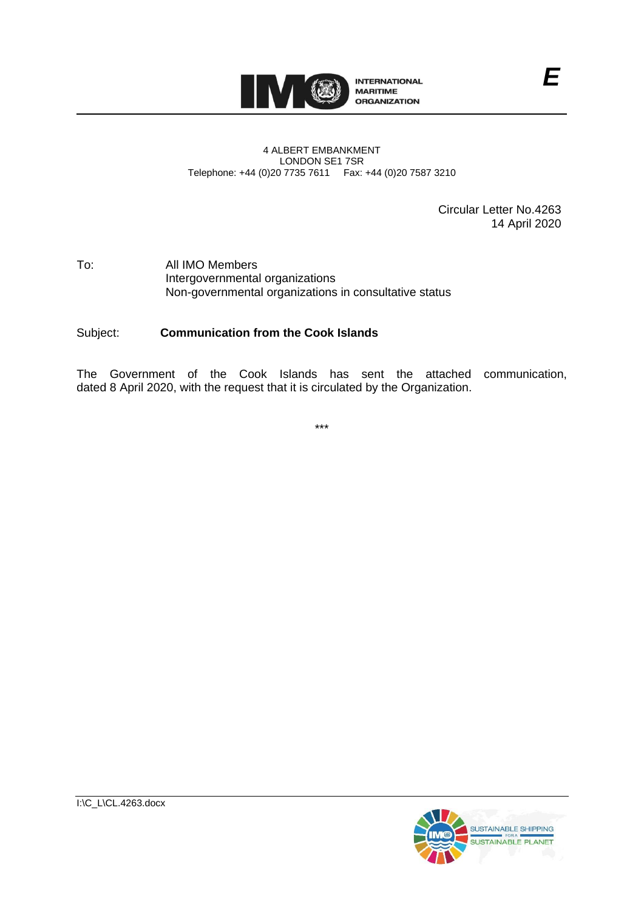

#### 4 ALBERT EMBANKMENT LONDON SE1 7SR Telephone: +44 (0)20 7735 7611 Fax: +44 (0)20 7587 3210

Circular Letter No.4263 14 April 2020

#### To: All IMO Members Intergovernmental organizations Non-governmental organizations in consultative status

#### Subject: **Communication from the Cook Islands**

The Government of the Cook Islands has sent the attached communication, dated 8 April 2020, with the request that it is circulated by the Organization.

\*\*\*

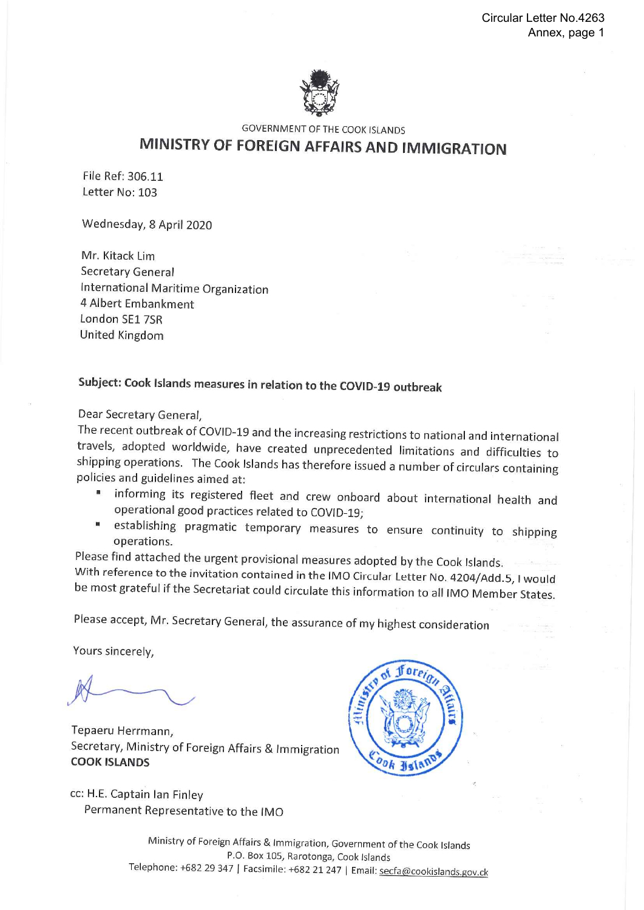

**GOVERNMENT OF THE COOK ISLANDS** 

# MINISTRY OF FOREIGN AFFAIRS AND IMMIGRATION

File Ref: 306.11 Letter No: 103

Wednesday, 8 April 2020

Mr. Kitack Lim Secretary General International Maritime Organization 4 Albert Embankment London SF1 7SR United Kingdom

## Subject: Cook Islands measures in relation to the COVID-19 outbreak

Dear Secretary General,

The recent outbreak of COVID-19 and the increasing restrictions to national and international travels, adopted worldwide, have created unprecedented limitations and difficulties to shipping operations. The Cook Islands has therefore issued a number of circulars containing policies and guidelines aimed at:

- " informing its registered fleet and crew onboard about international health and operational good practices related to COVID-19;
- establishing pragmatic temporary measures to ensure continuity to shipping 圓 operations.

Please find attached the urgent provisional measures adopted by the Cook Islands.

With reference to the invitation contained in the IMO Circular Letter No. 4204/Add.5, I would be most grateful if the Secretariat could circulate this information to all IMO Member States.

Please accept, Mr. Secretary General, the assurance of my highest consideration

Yours sincerely,

Tepaeru Herrmann, Secretary, Ministry of Foreign Affairs & Immigration **COOK ISLANDS** 

cc: H.E. Captain Ian Finley Permanent Representative to the IMO



Ministry of Foreign Affairs & Immigration, Government of the Cook Islands P.O. Box 105, Rarotonga, Cook Islands Telephone: +682 29 347 | Facsimile: +682 21 247 | Email: secfa@cookislands.gov.ck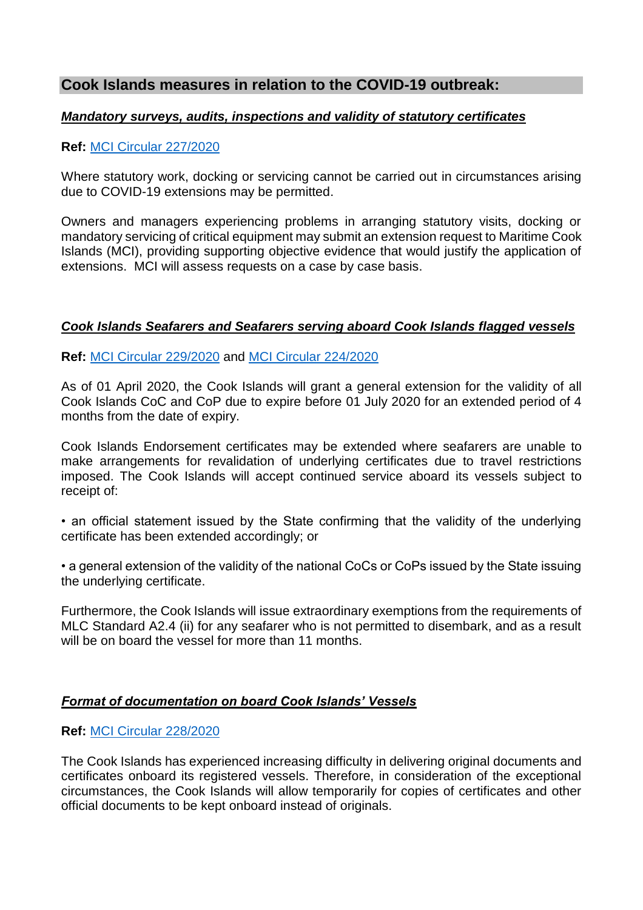## **Cook Islands measures in relation to the COVID-19 outbreak:**

#### *Mandatory surveys, audits, inspections and validity of statutory certificates*

#### **Ref:** [MCI Circular 227/2020](https://www.maritimecookislands.com/wp-content/uploads/2020/04/MCI-Circular-2272020-COVID-19-Extension-of-manditory-surveys.pdf)

Where statutory work, docking or servicing cannot be carried out in circumstances arising due to COVID-19 extensions may be permitted.

Owners and managers experiencing problems in arranging statutory visits, docking or mandatory servicing of critical equipment may submit an extension request to Maritime Cook Islands (MCI), providing supporting objective evidence that would justify the application of extensions. MCI will assess requests on a case by case basis.

### *Cook Islands Seafarers and Seafarers serving aboard Cook Islands flagged vessels*

**Ref:** [MCI Circular 229/2020](https://www.maritimecookislands.com/wp-content/uploads/2020/04/MCI-2292020-COVID-19-and-Seafarers.pdf) and [MCI Circular 224/2020](https://www.maritimecookislands.com/wp-content/uploads/2020/04/Tech-Safety-Bulletin-Coronavirus-2020-temporarily-SEA-MLC-exemption.pdf)

As of 01 April 2020, the Cook Islands will grant a general extension for the validity of all Cook Islands CoC and CoP due to expire before 01 July 2020 for an extended period of 4 months from the date of expiry.

Cook Islands Endorsement certificates may be extended where seafarers are unable to make arrangements for revalidation of underlying certificates due to travel restrictions imposed. The Cook Islands will accept continued service aboard its vessels subject to receipt of:

• an official statement issued by the State confirming that the validity of the underlying certificate has been extended accordingly; or

• a general extension of the validity of the national CoCs or CoPs issued by the State issuing the underlying certificate.

Furthermore, the Cook Islands will issue extraordinary exemptions from the requirements of MLC Standard A2.4 (ii) for any seafarer who is not permitted to disembark, and as a result will be on board the vessel for more than 11 months.

### *Format of documentation on board Cook Islands' Vessels*

#### **Ref:** [MCI Circular 228/2020](https://www.maritimecookislands.com/wp-content/uploads/2020/04/MCI-2282020-COVID-19-Documents-onboard.pdf)

The Cook Islands has experienced increasing difficulty in delivering original documents and certificates onboard its registered vessels. Therefore, in consideration of the exceptional circumstances, the Cook Islands will allow temporarily for copies of certificates and other official documents to be kept onboard instead of originals.